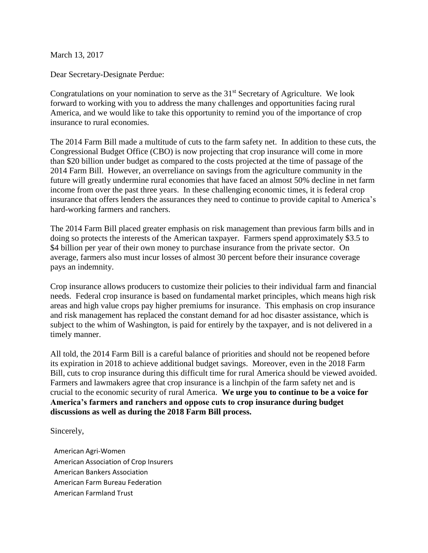March 13, 2017

Dear Secretary-Designate Perdue:

Congratulations on your nomination to serve as the  $31<sup>st</sup>$  Secretary of Agriculture. We look forward to working with you to address the many challenges and opportunities facing rural America, and we would like to take this opportunity to remind you of the importance of crop insurance to rural economies.

The 2014 Farm Bill made a multitude of cuts to the farm safety net. In addition to these cuts, the Congressional Budget Office (CBO) is now projecting that crop insurance will come in more than \$20 billion under budget as compared to the costs projected at the time of passage of the 2014 Farm Bill. However, an overreliance on savings from the agriculture community in the future will greatly undermine rural economies that have faced an almost 50% decline in net farm income from over the past three years. In these challenging economic times, it is federal crop insurance that offers lenders the assurances they need to continue to provide capital to America's hard-working farmers and ranchers.

The 2014 Farm Bill placed greater emphasis on risk management than previous farm bills and in doing so protects the interests of the American taxpayer. Farmers spend approximately \$3.5 to \$4 billion per year of their own money to purchase insurance from the private sector. On average, farmers also must incur losses of almost 30 percent before their insurance coverage pays an indemnity.

Crop insurance allows producers to customize their policies to their individual farm and financial needs. Federal crop insurance is based on fundamental market principles, which means high risk areas and high value crops pay higher premiums for insurance. This emphasis on crop insurance and risk management has replaced the constant demand for ad hoc disaster assistance, which is subject to the whim of Washington, is paid for entirely by the taxpayer, and is not delivered in a timely manner.

All told, the 2014 Farm Bill is a careful balance of priorities and should not be reopened before its expiration in 2018 to achieve additional budget savings. Moreover, even in the 2018 Farm Bill, cuts to crop insurance during this difficult time for rural America should be viewed avoided. Farmers and lawmakers agree that crop insurance is a linchpin of the farm safety net and is crucial to the economic security of rural America. **We urge you to continue to be a voice for America's farmers and ranchers and oppose cuts to crop insurance during budget discussions as well as during the 2018 Farm Bill process.** 

Sincerely,

American Agri-Women American Association of Crop Insurers American Bankers Association American Farm Bureau Federation American Farmland Trust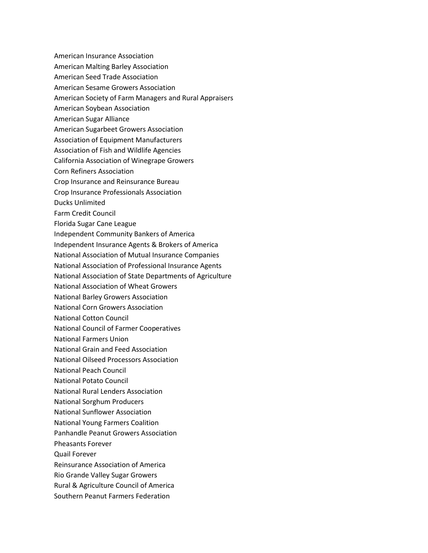- American Insurance Association
- American Malting Barley Association
- American Seed Trade Association
- American Sesame Growers Association
- American Society of Farm Managers and Rural Appraisers
- American Soybean Association
- American Sugar Alliance
- American Sugarbeet Growers Association
- Association of Equipment Manufacturers
- Association of Fish and Wildlife Agencies
- California Association of Winegrape Growers
- Corn Refiners Association
- Crop Insurance and Reinsurance Bureau
- Crop Insurance Professionals Association
- Ducks Unlimited
- Farm Credit Council
- Florida Sugar Cane League
- Independent Community Bankers of America
- Independent Insurance Agents & Brokers of America
- National Association of Mutual Insurance Companies
- National Association of Professional Insurance Agents
- National Association of State Departments of Agriculture
- National Association of Wheat Growers
- National Barley Growers Association
- National Corn Growers Association
- National Cotton Council
- National Council of Farmer Cooperatives
- National Farmers Union
- National Grain and Feed Association
- National Oilseed Processors Association
- National Peach Council
- National Potato Council
- National Rural Lenders Association
- National Sorghum Producers
- National Sunflower Association
- National Young Farmers Coalition
- Panhandle Peanut Growers Association
- Pheasants Forever
- Quail Forever
- Reinsurance Association of America
- Rio Grande Valley Sugar Growers
- Rural & Agriculture Council of America
- Southern Peanut Farmers Federation